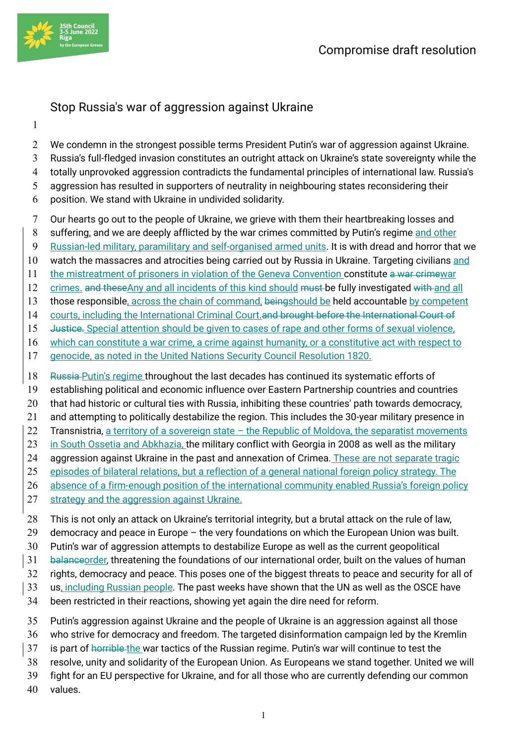

## Stop Russia's war of aggression against Ukraine

We condemn in the strongest possible terms President Putin's war of aggression against Ukraine.

- Russia's full-fledged invasion constitutes an outright attack on Ukraine's state sovereignty while the
- totally unprovoked aggression contradicts the fundamental principles of international law. Russia's
- aggression has resulted in supporters of neutrality in neighbouring states reconsidering their
- position. We stand with Ukraine in undivided solidarity.
- Our hearts go out to the people of Ukraine, we grieve with them their heartbreaking losses and
- 8 suffering, and we are deeply afflicted by the war crimes committed by Putin's regime and other
- Russian-led military, paramilitary and self-organised armed units. It is with dread and horror that we
- watch the massacres and atrocities being carried out by Russia in Ukraine. Targeting civilians and
- 11 the mistreatment of prisoners in violation of the Geneva Convention constitute a war crimewar
- 12 crimes, and theseAny and all incidents of this kind should must be fully investigated with and all
- 13 those responsible, across the chain of command, beingshould be held accountable by competent
- 14 courts, including the International Criminal Court. and brought before the International Court of
- 15 Justice. Special attention should be given to cases of rape and other forms of sexual violence,
- which can constitute a war crime, a crime against humanity, or a constitutive act with respect to
- genocide, as noted in the United Nations Security Council Resolution 1820.
- 18 Russia-Putin's regime throughout the last decades has continued its systematic efforts of
- establishing political and economic influence over Eastern Partnership countries and countries
- 20 that had historic or cultural ties with Russia, inhibiting these countries' path towards democracy,
- and attempting to politically destabilize the region. This includes the 30-year military presence in
- Transnistria, a territory of a sovereign state the Republic of Moldova, the separatist movements
- 23 in South Ossetia and Abkhazia, the military conflict with Georgia in 2008 as well as the military
- 24 aggression against Ukraine in the past and annexation of Crimea. These are not separate tragic
- episodes of bilateral relations, but a reflection of a general national foreign policy strategy. The
- 26 absence of a firm-enough position of the international community enabled Russia's foreign policy
- 27 strategy and the aggression against Ukraine.
- This is not only an attack on Ukraine's territorial integrity, but a brutal attack on the rule of law,
- democracy and peace in Europe the very foundations on which the European Union was built.
- Putin's war of aggression attempts to destabilize Europe as well as the current geopolitical
- 31 balance order, threatening the foundations of our international order, built on the values of human
- rights, democracy and peace. This poses one of the biggest threats to peace and security for all of
- us, including Russian people. The past weeks have shown that the UN as well as the OSCE have
- been restricted in their reactions, showing yet again the dire need for reform.
- Putin's aggression against Ukraine and the people of Ukraine is an aggression against all those
- who strive for democracy and freedom. The targeted disinformation campaign led by the Kremlin
- 37 is part of horrible the war tactics of the Russian regime. Putin's war will continue to test the
- resolve, unity and solidarity of the European Union. As Europeans we stand together. United we will
- fight for an EU perspective for Ukraine, and for all those who are currently defending our common
- values.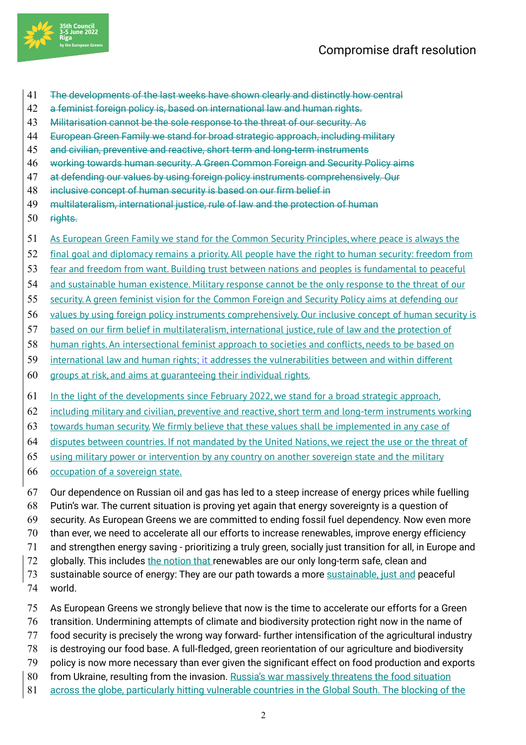

- The developments of the last weeks have shown clearly and distinctly how central
- a feminist foreign policy is, based on international law and human rights.
- Militarisation cannot be the sole response to the threat of our security. As
- European Green Family we stand for broad strategic approach, including military
- and civilian, preventive and reactive, short term and long-term instruments
- working towards human security. A Green Common Foreign and Security Policy aims
- at defending our values by using foreign policy instruments comprehensively. Our
- inclusive concept of human security is based on our firm belief in
- multilateralism, international justice, rule of law and the protection of human
- rights.
- As European Green Family we stand for the Common Security Principles, where peace is always the
- final goal and diplomacy remains a priority. All people have the right to human security: freedom from
- fear and freedom from want. Building trust between nations and peoples is fundamental to peaceful
- 54 and sustainable human existence. Military response cannot be the only response to the threat of our
- security. A green feminist vision for the Common Foreign and Security Policy aims at defending our
- values by using foreign policy instruments comprehensively. Our inclusive concept of human security is
- based on our firm belief in multilateralism, international justice, rule of law and the protection of
- human rights. An intersectional feminist approach to societies and conflicts, needs to be based on
- international law and human rights; it addresses the vulnerabilities between and within different
- groups at risk, and aims at guaranteeing their individual rights.
- In the light of the developments since February 2022, we stand for a broad strategic approach,
- including military and civilian, preventive and reactive, short term and long-term instruments working
- towards human security. We firmly believe that these values shall be implemented in any case of
- disputes between countries. If not mandated by the United Nations, we reject the use or the threat of
- using military power or intervention by any country on another sovereign state and the military
- occupation of a sovereign state.
- Our dependence on Russian oil and gas has led to a steep increase of energy prices while fuelling
- Putin's war. The current situation is proving yet again that energy sovereignty is a question of
- security. As European Greens we are committed to ending fossil fuel dependency. Now even more
- than ever, we need to accelerate all our efforts to increase renewables, improve energy efficiency
- and strengthen energy saving prioritizing a truly green, socially just transition for all, in Europe and
- 72 globally. This includes the notion that renewables are our only long-term safe, clean and
- 73 sustainable source of energy: They are our path towards a more sustainable, just and peaceful world.
- As European Greens we strongly believe that now is the time to accelerate our efforts for a Green
- transition. Undermining attempts of climate and biodiversity protection right now in the name of
- food security is precisely the wrong way forward- further intensification of the agricultural industry
- is destroying our food base. A full-fledged, green reorientation of our agriculture and biodiversity
- policy is now more necessary than ever given the significant effect on food production and exports
- 80 from Ukraine, resulting from the invasion. Russia's war massively threatens the food situation
- 81 across the globe, particularly hitting vulnerable countries in the Global South. The blocking of the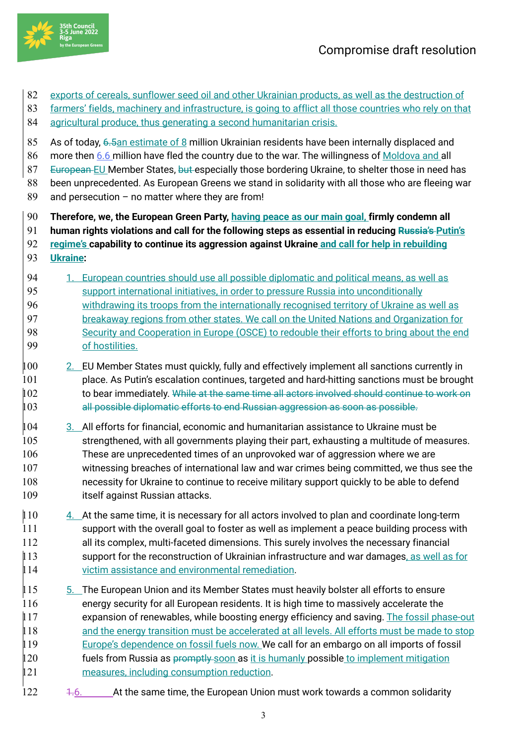

- 82 exports of cereals, sunflower seed oil and other Ukrainian products, as well as the destruction of
- 83 farmers' fields, machinery and infrastructure, is going to afflict all those countries who rely on that
- 84 agricultural produce, thus generating a second humanitarian crisis.
- 85 As of today, 6.5an estimate of 8 million Ukrainian residents have been internally displaced and
- 86 more then 6.6 million have fled the country due to the war. The willingness of Moldova and all
- 87 European EU Member States, but especially those bordering Ukraine, to shelter those in need has
- 88 been unprecedented. As European Greens we stand in solidarity with all those who are fleeing war
- 89 and persecution no matter where they are from!
- 90 **Therefore, we, the European Green Party, having peace as our main goal, firmly condemn all**
- 91 **human rights violations and call for the following steps as essential in reducing Russia's Putin's**
- 92 **regime's capability to continue its aggression against Ukraine and call for help in rebuilding**
- 93 **Ukraine:**
- 94 1. European countries should use all possible diplomatic and political means, as well as 95 support international initiatives, in order to pressure Russia into unconditionally 96 withdrawing its troops from the internationally recognised territory of Ukraine as well as 97 breakaway regions from other states. We call on the United Nations and Organization for 98 Security and Cooperation in Europe (OSCE) to redouble their efforts to bring about the end 99 of hostilities.
- $\frac{100}{2}$  EU Member States must quickly, fully and effectively implement all sanctions currently in 101 place. As Putin's escalation continues, targeted and hard-hitting sanctions must be brought 102 to bear immediately. While at the same time all actors involved should continue to work on 103 all possible diplomatic efforts to end Russian aggression as soon as possible.
- 104 3. All efforts for financial, economic and humanitarian assistance to Ukraine must be 105 strengthened, with all governments playing their part, exhausting a multitude of measures. 106 These are unprecedented times of an unprovoked war of aggression where we are 107 witnessing breaches of international law and war crimes being committed, we thus see the 108 necessity for Ukraine to continue to receive military support quickly to be able to defend 109 itself against Russian attacks.
- $\frac{110}{4}$  At the same time, it is necessary for all actors involved to plan and coordinate long-term 111 support with the overall goal to foster as well as implement a peace building process with 112 all its complex, multi-faceted dimensions. This surely involves the necessary financial 113 support for the reconstruction of Ukrainian infrastructure and war damages, as well as for 114 victim assistance and environmental remediation.
- $\parallel$  15  $\parallel$  5. The European Union and its Member States must heavily bolster all efforts to ensure 116 energy security for all European residents. It is high time to massively accelerate the 117 expansion of renewables, while boosting energy efficiency and saving. The fossil phase-out 118 and the energy transition must be accelerated at all levels. All efforts must be made to stop 119 Europe's dependence on fossil fuels now. We call for an embargo on all imports of fossil 120 fuels from Russia as promptly soon as it is humanly possible to implement mitigation 121 measures, including consumption reduction.
- 122 1.6. At the same time, the European Union must work towards a common solidarity